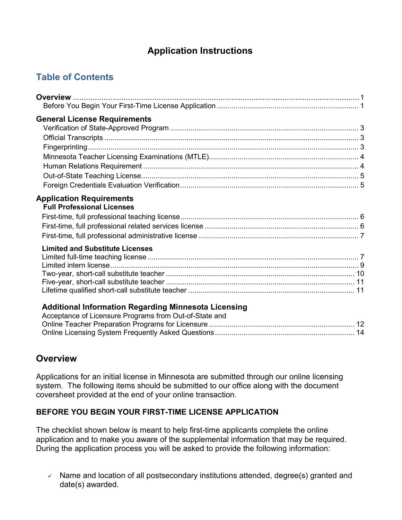# **Application Instructions**

# **Table of Contents**

| <b>General License Requirements</b>                                                                                   |  |
|-----------------------------------------------------------------------------------------------------------------------|--|
|                                                                                                                       |  |
|                                                                                                                       |  |
|                                                                                                                       |  |
|                                                                                                                       |  |
|                                                                                                                       |  |
|                                                                                                                       |  |
|                                                                                                                       |  |
| <b>Application Requirements</b><br><b>Full Professional Licenses</b>                                                  |  |
| <b>Limited and Substitute Licenses</b>                                                                                |  |
|                                                                                                                       |  |
|                                                                                                                       |  |
|                                                                                                                       |  |
|                                                                                                                       |  |
| <b>Additional Information Regarding Minnesota Licensing</b><br>Acceptance of Licensure Programs from Out-of-State and |  |

| $\frac{1}{2}$ |  |
|---------------|--|
|               |  |
|               |  |
|               |  |

# **Overview**

Applications for an initial license in Minnesota are submitted through our online licensing system. The following items should be submitted to our office along with the document coversheet provided at the end of your online transaction.

# **BEFORE YOU BEGIN YOUR FIRST-TIME LICENSE APPLICATION**

The checklist shown below is meant to help first-time applicants complete the online application and to make you aware of the supplemental information that may be required. During the application process you will be asked to provide the following information:

 $\checkmark$  Name and location of all postsecondary institutions attended, degree(s) granted and date(s) awarded.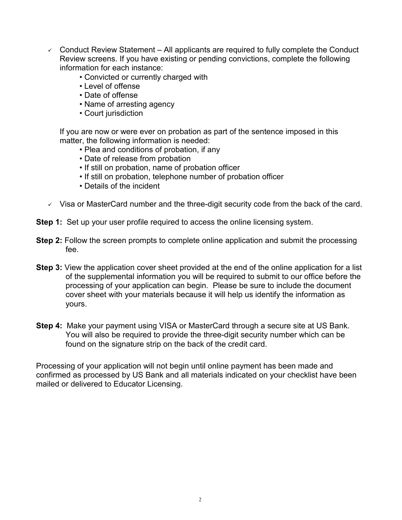- $\sim$  Conduct Review Statement All applicants are required to fully complete the Conduct Review screens. If you have existing or pending convictions, complete the following information for each instance:
	- Convicted or currently charged with
	- Level of offense
	- Date of offense
	- Name of arresting agency
	- Court jurisdiction

If you are now or were ever on probation as part of the sentence imposed in this matter, the following information is needed:

- Plea and conditions of probation, if any
- Date of release from probation
- If still on probation, name of probation officer
- If still on probation, telephone number of probation officer
- Details of the incident
- $\vee$  Visa or MasterCard number and the three-digit security code from the back of the card.
- **Step 1:** Set up your user profile required to access the online licensing system.
- **Step 2:** Follow the screen prompts to complete online application and submit the processing fee.
- **Step 3:** View the application cover sheet provided at the end of the online application for a list of the supplemental information you will be required to submit to our office before the processing of your application can begin. Please be sure to include the document cover sheet with your materials because it will help us identify the information as yours.
- **Step 4:** Make your payment using VISA or MasterCard through a secure site at US Bank. You will also be required to provide the three-digit security number which can be found on the signature strip on the back of the credit card.

Processing of your application will not begin until online payment has been made and confirmed as processed by US Bank and all materials indicated on your checklist have been mailed or delivered to Educator Licensing.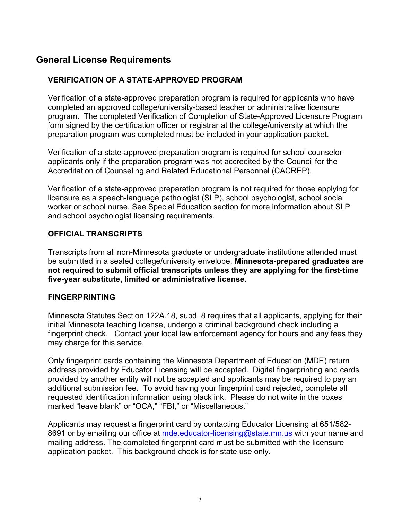# **General License Requirements**

## **VERIFICATION OF A STATE-APPROVED PROGRAM**

Verification of a state-approved preparation program is required for applicants who have completed an approved college/university-based teacher or administrative licensure program. The completed Verification of Completion of State-Approved Licensure Program form signed by the certification officer or registrar at the college/university at which the preparation program was completed must be included in your application packet.

Verification of a state-approved preparation program is required for school counselor applicants only if the preparation program was not accredited by the Council for the Accreditation of Counseling and Related Educational Personnel (CACREP).

Verification of a state-approved preparation program is not required for those applying for licensure as a speech-language pathologist (SLP), school psychologist, school social worker or school nurse. See Special Education section for more information about SLP and school psychologist licensing requirements.

## **OFFICIAL TRANSCRIPTS**

Transcripts from all non-Minnesota graduate or undergraduate institutions attended must be submitted in a sealed college/university envelope. **Minnesota-prepared graduates are not required to submit official transcripts unless they are applying for the first-time five-year substitute, limited or administrative license.**

#### **FINGERPRINTING**

Minnesota Statutes Section 122A.18, subd. 8 requires that all applicants, applying for their initial Minnesota teaching license, undergo a criminal background check including a fingerprint check. Contact your local law enforcement agency for hours and any fees they may charge for this service.

Only fingerprint cards containing the Minnesota Department of Education (MDE) return address provided by Educator Licensing will be accepted. Digital fingerprinting and cards provided by another entity will not be accepted and applicants may be required to pay an additional submission fee. To avoid having your fingerprint card rejected, complete all requested identification information using black ink. Please do not write in the boxes marked "leave blank" or "OCA," "FBI," or "Miscellaneous."

Applicants may request a fingerprint card by contacting Educator Licensing at 651/582 8691 or by emailing our office at [mde.educator-licensing@state.mn.us](mailto:mde.educator-licensing@state.mn.us) with your name and mailing address. The completed fingerprint card must be submitted with the licensure application packet. This background check is for state use only.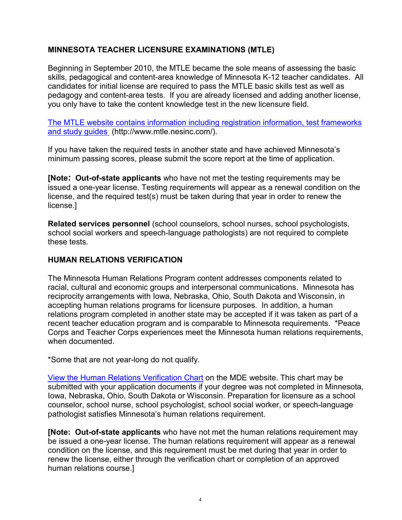# **MINNESOTA TEACHER LICENSURE EXAMINATIONS (MTLE)**

Beginning in September 2010, the MTLE became the sole means of assessing the basic skills, pedagogical and content-area knowledge of Minnesota K-12 teacher candidates. All candidates for initial license are required to pass the MTLE basic skills test as well as pedagogy and content-area tests. If you are already licensed and adding another license, you only have to take the content knowledge test in the new licensure field.

[The MTLE website contains information including registration information, test frameworks](http://www.mtle.nesinc.com/)  [and study guides](http://www.mtle.nesinc.com/) (http://www.mtle.nesinc.com/).

If you have taken the required tests in another state and have achieved Minnesota's minimum passing scores, please submit the score report at the time of application.

**[Note: Out-of-state applicants** who have not met the testing requirements may be issued a one-year license. Testing requirements will appear as a renewal condition on the license, and the required test(s) must be taken during that year in order to renew the license.]

**Related services personnel** (school counselors, school nurses, school psychologists, school social workers and speech-language pathologists) are not required to complete these tests.

## **HUMAN RELATIONS VERIFICATION**

The Minnesota Human Relations Program content addresses components related to racial, cultural and economic groups and interpersonal communications. Minnesota has reciprocity arrangements with Iowa, Nebraska, Ohio, South Dakota and Wisconsin, in accepting human relations programs for licensure purposes. In addition, a human relations program completed in another state may be accepted if it was taken as part of a recent teacher education program and is comparable to Minnesota requirements. \*Peace Corps and Teacher Corps experiences meet the Minnesota human relations requirements, when documented.

\*Some that are not year-long do not qualify.

[View the Human Relations Verification Chart](http://education.state.mn.us/mdeprod/idcplg?IdcService=GET_FILE&dDocName=003415&RevisionSelectionMethod=latestReleased&Rendition=primary) on the MDE website. This chart may be submitted with your application documents if your degree was not completed in Minnesota, Iowa, Nebraska, Ohio, South Dakota or Wisconsin. Preparation for licensure as a school counselor, school nurse, school psychologist, school social worker, or speech-language pathologist satisfies Minnesota's human relations requirement.

**[Note: Out-of-state applicants** who have not met the human relations requirement may be issued a one-year license. The human relations requirement will appear as a renewal condition on the license, and this requirement must be met during that year in order to renew the license, either through the verification chart or completion of an approved human relations course.]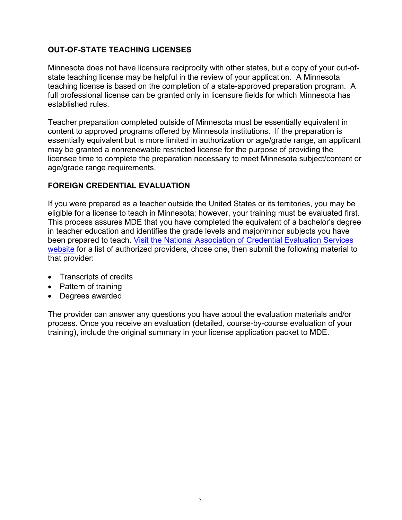# **OUT-OF-STATE TEACHING LICENSES**

Minnesota does not have licensure reciprocity with other states, but a copy of your out-ofstate teaching license may be helpful in the review of your application. A Minnesota teaching license is based on the completion of a state-approved preparation program. A full professional license can be granted only in licensure fields for which Minnesota has established rules.

Teacher preparation completed outside of Minnesota must be essentially equivalent in content to approved programs offered by Minnesota institutions. If the preparation is essentially equivalent but is more limited in authorization or age/grade range, an applicant may be granted a nonrenewable restricted license for the purpose of providing the licensee time to complete the preparation necessary to meet Minnesota subject/content or age/grade range requirements.

# **FOREIGN CREDENTIAL EVALUATION**

If you were prepared as a teacher outside the United States or its territories, you may be eligible for a license to teach in Minnesota; however, your training must be evaluated first. This process assures MDE that you have completed the equivalent of a bachelor's degree in teacher education and identifies the grade levels and major/minor subjects you have been prepared to teach. [Visit the National Association of Credential Evaluation Services](http://www.naces.org/members.htm)  [website](http://www.naces.org/members.htm) for a list of authorized providers, chose one, then submit the following material to that provider:

- Transcripts of credits
- Pattern of training
- Degrees awarded

The provider can answer any questions you have about the evaluation materials and/or process. Once you receive an evaluation (detailed, course-by-course evaluation of your training), include the original summary in your license application packet to MDE.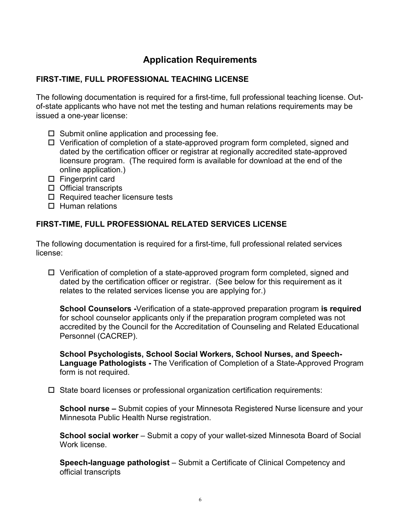# **Application Requirements**

# **FIRST-TIME, FULL PROFESSIONAL TEACHING LICENSE**

The following documentation is required for a first-time, full professional teaching license. Outof-state applicants who have not met the testing and human relations requirements may be issued a one-year license:

- $\Box$  Submit online application and processing fee.
- $\Box$  Verification of completion of a state-approved program form completed, signed and dated by the certification officer or registrar at regionally accredited state-approved licensure program. (The required form is available for download at the end of the online application.)
- $\Box$  Fingerprint card
- $\Box$  Official transcripts
- $\square$  Required teacher licensure tests
- $\Box$  Human relations

## **FIRST-TIME, FULL PROFESSIONAL RELATED SERVICES LICENSE**

The following documentation is required for a first-time, full professional related services license:

 $\Box$  Verification of completion of a state-approved program form completed, signed and dated by the certification officer or registrar. (See below for this requirement as it relates to the related services license you are applying for.)

**School Counselors -**Verification of a state-approved preparation program **is required** for school counselor applicants only if the preparation program completed was not accredited by the Council for the Accreditation of Counseling and Related Educational Personnel (CACREP).

**School Psychologists, School Social Workers, School Nurses, and Speech-Language Pathologists -** The Verification of Completion of a State-Approved Program form is not required.

 $\Box$  State board licenses or professional organization certification requirements:

**School nurse –** Submit copies of your Minnesota Registered Nurse licensure and your Minnesota Public Health Nurse registration.

**School social worker** – Submit a copy of your wallet-sized Minnesota Board of Social Work license.

**Speech-language pathologist** – Submit a Certificate of Clinical Competency and official transcripts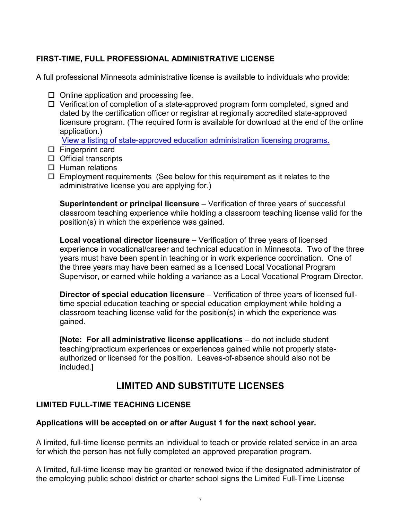# **FIRST-TIME, FULL PROFESSIONAL ADMINISTRATIVE LICENSE**

A full professional Minnesota administrative license is available to individuals who provide:

- $\Box$  Online application and processing fee.
- $\Box$  Verification of completion of a state-approved program form completed, signed and dated by the certification officer or registrar at regionally accredited state-approved licensure program. (The required form is available for download at the end of the online application.)

[View a listing of state-approved education administration licensing programs.](http://mnbosa.org/pages/approved.html)

- $\square$  Fingerprint card
- $\Box$  Official transcripts
- $\Box$  Human relations
- $\Box$  Employment requirements (See below for this requirement as it relates to the administrative license you are applying for.)

**Superintendent or principal licensure** – Verification of three years of successful classroom teaching experience while holding a classroom teaching license valid for the position(s) in which the experience was gained.

**Local vocational director licensure** – Verification of three years of licensed experience in vocational/career and technical education in Minnesota. Two of the three years must have been spent in teaching or in work experience coordination. One of the three years may have been earned as a licensed Local Vocational Program Supervisor, or earned while holding a variance as a Local Vocational Program Director.

**Director of special education licensure** – Verification of three years of licensed fulltime special education teaching or special education employment while holding a classroom teaching license valid for the position(s) in which the experience was gained.

[**Note: For all administrative license applications** – do not include student teaching/practicum experiences or experiences gained while not properly stateauthorized or licensed for the position. Leaves-of-absence should also not be included.]

# **LIMITED AND SUBSTITUTE LICENSES**

# **LIMITED FULL-TIME TEACHING LICENSE**

# **Applications will be accepted on or after August 1 for the next school year.**

A limited, full-time license permits an individual to teach or provide related service in an area for which the person has not fully completed an approved preparation program.

A limited, full-time license may be granted or renewed twice if the designated administrator of the employing public school district or charter school signs the Limited Full-Time License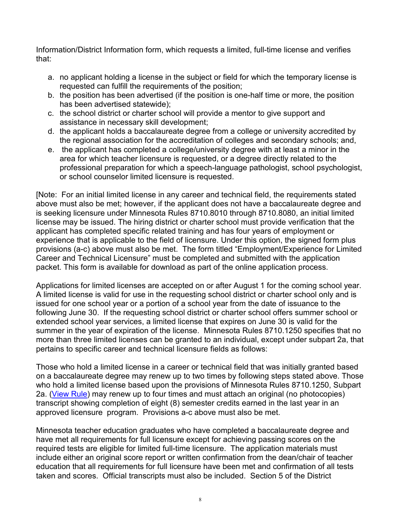Information/District Information form, which requests a limited, full-time license and verifies that:

- a. no applicant holding a license in the subject or field for which the temporary license is requested can fulfill the requirements of the position;
- b. the position has been advertised (if the position is one-half time or more, the position has been advertised statewide);
- c. the school district or charter school will provide a mentor to give support and assistance in necessary skill development;
- d. the applicant holds a baccalaureate degree from a college or university accredited by the regional association for the accreditation of colleges and secondary schools; and,
- e. the applicant has completed a college/university degree with at least a minor in the area for which teacher licensure is requested, or a degree directly related to the professional preparation for which a speech-language pathologist, school psychologist, or school counselor limited licensure is requested.

[Note: For an initial limited license in any career and technical field, the requirements stated above must also be met; however, if the applicant does not have a baccalaureate degree and is seeking licensure under Minnesota Rules 8710.8010 through 8710.8080, an initial limited license may be issued. The hiring district or charter school must provide verification that the applicant has completed specific related training and has four years of employment or experience that is applicable to the field of licensure. Under this option, the signed form plus provisions (a-c) above must also be met. The form titled "Employment/Experience for Limited Career and Technical Licensure" must be completed and submitted with the application packet. This form is available for download as part of the online application process.

Applications for limited licenses are accepted on or after August 1 for the coming school year. A limited license is valid for use in the requesting school district or charter school only and is issued for one school year or a portion of a school year from the date of issuance to the following June 30. If the requesting school district or charter school offers summer school or extended school year services, a limited license that expires on June 30 is valid for the summer in the year of expiration of the license. Minnesota Rules 8710.1250 specifies that no more than three limited licenses can be granted to an individual, except under subpart 2a, that pertains to specific career and technical licensure fields as follows:

Those who hold a limited license in a career or technical field that was initially granted based on a baccalaureate degree may renew up to two times by following steps stated above. Those who hold a limited license based upon the provisions of Minnesota Rules 8710.1250, Subpart 2a. [\(View Rule\)](http://www.revisor.leg.state.mn.us/arule/8710/1250.html) may renew up to four times and must attach an original (no photocopies) transcript showing completion of eight (8) semester credits earned in the last year in an approved licensure program. Provisions a-c above must also be met.

Minnesota teacher education graduates who have completed a baccalaureate degree and have met all requirements for full licensure except for achieving passing scores on the required tests are eligible for limited full-time licensure. The application materials must include either an original score report or written confirmation from the dean/chair of teacher education that all requirements for full licensure have been met and confirmation of all tests taken and scores. Official transcripts must also be included. Section 5 of the District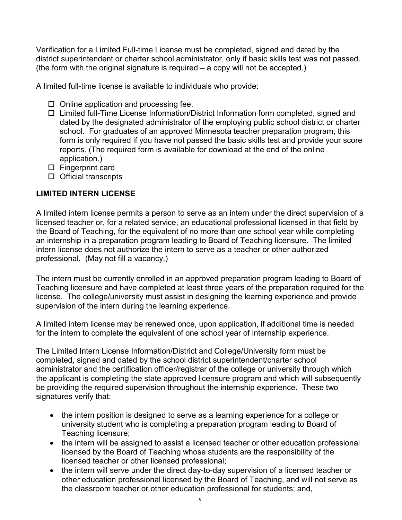Verification for a Limited Full-time License must be completed, signed and dated by the district superintendent or charter school administrator, only if basic skills test was not passed. (the form with the original signature is required – a copy will not be accepted.)

A limited full-time license is available to individuals who provide:

- $\Box$  Online application and processing fee.
- □ Limited full-Time License Information/District Information form completed, signed and dated by the designated administrator of the employing public school district or charter school. For graduates of an approved Minnesota teacher preparation program, this form is only required if you have not passed the basic skills test and provide your score reports. (The required form is available for download at the end of the online application.)
- $\square$  Fingerprint card
- $\Box$  Official transcripts

# **LIMITED INTERN LICENSE**

A limited intern license permits a person to serve as an intern under the direct supervision of a licensed teacher or, for a related service, an educational professional licensed in that field by the Board of Teaching, for the equivalent of no more than one school year while completing an internship in a preparation program leading to Board of Teaching licensure. The limited intern license does not authorize the intern to serve as a teacher or other authorized professional. (May not fill a vacancy.)

The intern must be currently enrolled in an approved preparation program leading to Board of Teaching licensure and have completed at least three years of the preparation required for the license. The college/university must assist in designing the learning experience and provide supervision of the intern during the learning experience.

A limited intern license may be renewed once, upon application, if additional time is needed for the intern to complete the equivalent of one school year of internship experience.

The Limited Intern License Information/District and College/University form must be completed, signed and dated by the school district superintendent/charter school administrator and the certification officer/registrar of the college or university through which the applicant is completing the state approved licensure program and which will subsequently be providing the required supervision throughout the internship experience. These two signatures verify that:

- the intern position is designed to serve as a learning experience for a college or university student who is completing a preparation program leading to Board of Teaching licensure;
- the intern will be assigned to assist a licensed teacher or other education professional licensed by the Board of Teaching whose students are the responsibility of the licensed teacher or other licensed professional;
- the intern will serve under the direct day-to-day supervision of a licensed teacher or other education professional licensed by the Board of Teaching, and will not serve as the classroom teacher or other education professional for students; and,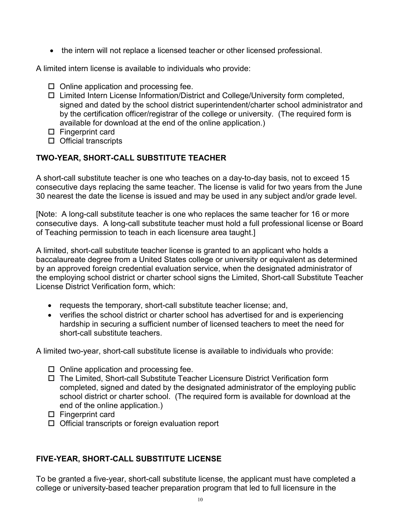• the intern will not replace a licensed teacher or other licensed professional.

A limited intern license is available to individuals who provide:

- $\Box$  Online application and processing fee.
- Limited Intern License Information/District and College/University form completed, signed and dated by the school district superintendent/charter school administrator and by the certification officer/registrar of the college or university. (The required form is available for download at the end of the online application.)
- $\square$  Fingerprint card
- $\square$  Official transcripts

## **TWO-YEAR, SHORT-CALL SUBSTITUTE TEACHER**

A short-call substitute teacher is one who teaches on a day-to-day basis, not to exceed 15 consecutive days replacing the same teacher. The license is valid for two years from the June 30 nearest the date the license is issued and may be used in any subject and/or grade level.

[Note: A long-call substitute teacher is one who replaces the same teacher for 16 or more consecutive days. A long-call substitute teacher must hold a full professional license or Board of Teaching permission to teach in each licensure area taught.]

A limited, short-call substitute teacher license is granted to an applicant who holds a baccalaureate degree from a United States college or university or equivalent as determined by an approved foreign credential evaluation service, when the designated administrator of the employing school district or charter school signs the Limited, Short-call Substitute Teacher License District Verification form, which:

- requests the temporary, short-call substitute teacher license; and,
- verifies the school district or charter school has advertised for and is experiencing hardship in securing a sufficient number of licensed teachers to meet the need for short-call substitute teachers.

A limited two-year, short-call substitute license is available to individuals who provide:

- $\Box$  Online application and processing fee.
- The Limited, Short-call Substitute Teacher Licensure District Verification form completed, signed and dated by the designated administrator of the employing public school district or charter school. (The required form is available for download at the end of the online application.)
- $\square$  Fingerprint card
- $\Box$  Official transcripts or foreign evaluation report

#### **FIVE-YEAR, SHORT-CALL SUBSTITUTE LICENSE**

To be granted a five-year, short-call substitute license, the applicant must have completed a college or university-based teacher preparation program that led to full licensure in the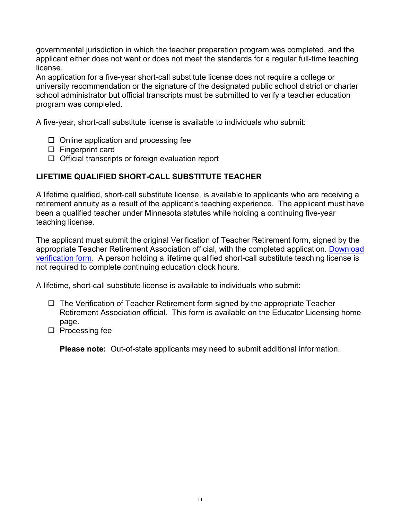governmental jurisdiction in which the teacher preparation program was completed, and the applicant either does not want or does not meet the standards for a regular full-time teaching license.

An application for a five-year short-call substitute license does not require a college or university recommendation or the signature of the designated public school district or charter school administrator but official transcripts must be submitted to verify a teacher education program was completed.

A five-year, short-call substitute license is available to individuals who submit:

- $\Box$  Online application and processing fee
- $\square$  Fingerprint card
- $\Box$  Official transcripts or foreign evaluation report

# **LIFETIME QUALIFIED SHORT-CALL SUBSTITUTE TEACHER**

A lifetime qualified, short-call substitute license, is available to applicants who are receiving a retirement annuity as a result of the applicant's teaching experience. The applicant must have been a qualified teacher under Minnesota statutes while holding a continuing five-year teaching license.

The applicant must submit the original Verification of Teacher Retirement form, signed by the appropriate Teacher Retirement Association official, with the completed application. [Download](http://education.state.mn.us/mdeprod/idcplg?IdcService=GET_FILE&dDocName=003627&RevisionSelectionMethod=latestReleased&Rendition=primary)  [verification form.](http://education.state.mn.us/mdeprod/idcplg?IdcService=GET_FILE&dDocName=003627&RevisionSelectionMethod=latestReleased&Rendition=primary) A person holding a lifetime qualified short-call substitute teaching license is not required to complete continuing education clock hours.

A lifetime, short-call substitute license is available to individuals who submit:

- $\Box$  The Verification of Teacher Retirement form signed by the appropriate Teacher Retirement Association official. This form is available on the Educator Licensing home page.
- $\square$  Processing fee

**Please note:** Out-of-state applicants may need to submit additional information.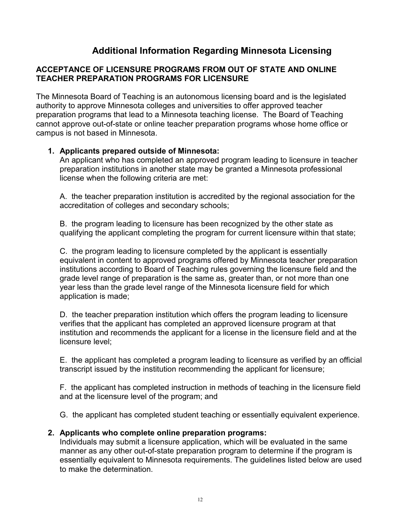# **Additional Information Regarding Minnesota Licensing**

## **ACCEPTANCE OF LICENSURE PROGRAMS FROM OUT OF STATE AND ONLINE TEACHER PREPARATION PROGRAMS FOR LICENSURE**

The Minnesota Board of Teaching is an autonomous licensing board and is the legislated authority to approve Minnesota colleges and universities to offer approved teacher preparation programs that lead to a Minnesota teaching license. The Board of Teaching cannot approve out-of-state or online teacher preparation programs whose home office or campus is not based in Minnesota.

#### **1. Applicants prepared outside of Minnesota:**

An applicant who has completed an approved program leading to licensure in teacher preparation institutions in another state may be granted a Minnesota professional license when the following criteria are met:

A. the teacher preparation institution is accredited by the regional association for the accreditation of colleges and secondary schools;

B. the program leading to licensure has been recognized by the other state as qualifying the applicant completing the program for current licensure within that state;

C. the program leading to licensure completed by the applicant is essentially equivalent in content to approved programs offered by Minnesota teacher preparation institutions according to Board of Teaching rules governing the licensure field and the grade level range of preparation is the same as, greater than, or not more than one year less than the grade level range of the Minnesota licensure field for which application is made;

D. the teacher preparation institution which offers the program leading to licensure verifies that the applicant has completed an approved licensure program at that institution and recommends the applicant for a license in the licensure field and at the licensure level;

E. the applicant has completed a program leading to licensure as verified by an official transcript issued by the institution recommending the applicant for licensure;

F. the applicant has completed instruction in methods of teaching in the licensure field and at the licensure level of the program; and

G. the applicant has completed student teaching or essentially equivalent experience.

#### **2. Applicants who complete online preparation programs:**

Individuals may submit a licensure application, which will be evaluated in the same manner as any other out-of-state preparation program to determine if the program is essentially equivalent to Minnesota requirements. The guidelines listed below are used to make the determination.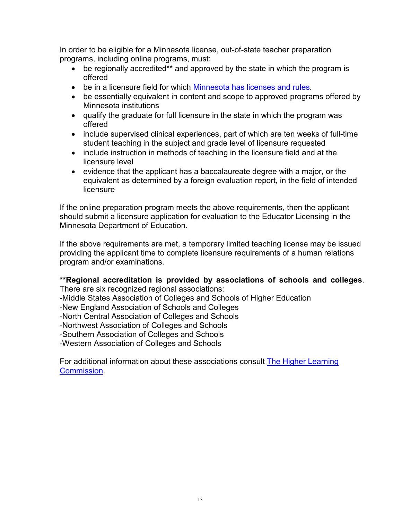In order to be eligible for a Minnesota license, out-of-state teacher preparation programs, including online programs, must:

- be regionally accredited\*\* and approved by the state in which the program is offered
- be in a licensure field for which [Minnesota has licenses and rules.](http://www.revisor.leg.state.mn.us/arule/8710/)
- be essentially equivalent in content and scope to approved programs offered by Minnesota institutions
- qualify the graduate for full licensure in the state in which the program was offered
- include supervised clinical experiences, part of which are ten weeks of full-time student teaching in the subject and grade level of licensure requested
- include instruction in methods of teaching in the licensure field and at the licensure level
- evidence that the applicant has a baccalaureate degree with a major, or the equivalent as determined by a foreign evaluation report, in the field of intended **licensure**

If the online preparation program meets the above requirements, then the applicant should submit a licensure application for evaluation to the Educator Licensing in the Minnesota Department of Education.

If the above requirements are met, a temporary limited teaching license may be issued providing the applicant time to complete licensure requirements of a human relations program and/or examinations.

#### **\*\*Regional accreditation is provided by associations of schools and colleges**. There are six recognized regional associations:

-Middle States Association of Colleges and Schools of Higher Education

-New England Association of Schools and Colleges

-North Central Association of Colleges and Schools

-Northwest Association of Colleges and Schools

-Southern Association of Colleges and Schools

-Western Association of Colleges and Schools

For additional information about these associations consult [The Higher Learning](http://www.ncahlc.org/)  [Commission.](http://www.ncahlc.org/)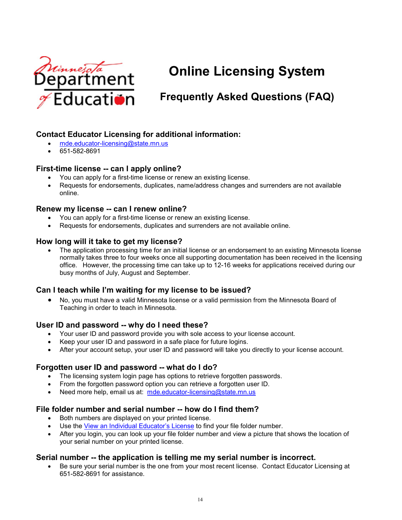

# **Online Licensing System**

# **Frequently Asked Questions (FAQ)**

# **Contact Educator Licensing for additional information:**

- [mde.educator-licensing@state.mn.us](mailto:mde.educator-licensing@state.mn.us)
- 651-582-8691

#### **First-time license -- can I apply online?**

- You can apply for a first-time license or renew an existing license.
- Requests for endorsements, duplicates, name/address changes and surrenders are not available online.

#### **Renew my license -- can I renew online?**

- You can apply for a first-time license or renew an existing license.
- Requests for endorsements, duplicates and surrenders are not available online.

#### **How long will it take to get my license?**

• The application processing time for an initial license or an endorsement to an existing Minnesota license normally takes three to four weeks once all supporting documentation has been received in the licensing office. However, the processing time can take up to 12-16 weeks for applications received during our busy months of July, August and September.

#### **Can I teach while I'm waiting for my license to be issued?**

• No, you must have a valid Minnesota license or a valid permission from the Minnesota Board of Teaching in order to teach in Minnesota.

#### **User ID and password -- why do I need these?**

- Your user ID and password provide you with sole access to your license account.
- Keep your user ID and password in a safe place for future logins.
- After your account setup, your user ID and password will take you directly to your license account.

#### **Forgotten user ID and password -- what do I do?**

- The licensing system login page has options to retrieve forgotten passwords.
- From the forgotten password option you can retrieve a forgotten user ID.
- Need more help, email us at: mde.educator-licensing@state.mn.us

#### **File folder number and serial number -- how do I find them?**

- Both numbers are displayed on your printed license.
- Use the [View an Individual Educator's License](http://education.state.mn.us/MDE/EdExc/Licen/TeachLicLook/index.html) to find your file folder number.
- After you login, you can look up your file folder number and view a picture that shows the location of your serial number on your printed license.

#### **Serial number -- the application is telling me my serial number is incorrect.**

• Be sure your serial number is the one from your most recent license. Contact Educator Licensing at 651-582-8691 for assistance.